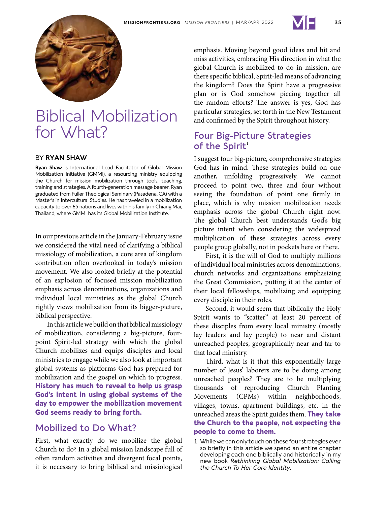



# Biblical Mobilization for What?

#### BY **RYAN SHAW**

**Ryan Shaw** is International Lead Facilitator of Global Mission Mobilization Initiative (GMMI), a resourcing ministry equipping the Church for mission mobilization through tools, teaching, training and strategies. A fourth-generation message bearer, Ryan graduated from Fuller Theological Seminary (Pasadena, CA) with a Master's in Intercultural Studies. He has traveled in a mobilization capacity to over 65 nations and lives with his family in Chiang Mai, Thailand, where GMMI has its Global Mobilization Institute.

In our previous article in the January-February issue we considered the vital need of clarifying a biblical missiology of mobilization, a core area of kingdom contribution often overlooked in today's mission movement. We also looked briefly at the potential of an explosion of focused mission mobilization emphasis across denominations, organizations and individual local ministries as the global Church rightly views mobilization from its bigger-picture, biblical perspective.

In this article we build on that biblical missiology of mobilization, considering a big-picture, fourpoint Spirit-led strategy with which the global Church mobilizes and equips disciples and local ministries to engage while we also look at important global systems as platforms God has prepared for mobilization and the gospel on which to progress. **History has much to reveal to help us grasp God's intent in using global systems of the day to empower the mobilization movement God seems ready to bring forth.**

#### **Mobilized to Do What?**

First, what exactly do we mobilize the global Church to do? In a global mission landscape full of often random activities and divergent focal points, it is necessary to bring biblical and missiological emphasis. Moving beyond good ideas and hit and miss activities, embracing His direction in what the global Church is mobilized to do in mission, are there specific biblical, Spirit-led means of advancing the kingdom? Does the Spirit have a progressive plan or is God somehow piecing together all the random efforts? The answer is yes, God has particular strategies, set forth in the New Testament and confirmed by the Spirit throughout history.

### **Four Big-Picture Strategies** of the Spirit<sup>1</sup>

I suggest four big-picture, comprehensive strategies God has in mind. These strategies build on one another, unfolding progressively. We cannot proceed to point two, three and four without seeing the foundation of point one firmly in place, which is why mission mobilization needs emphasis across the global Church right now. The global Church best understands God's big picture intent when considering the widespread multiplication of these strategies across every people group globally, not in pockets here or there.

First, it is the will of God to multiply millions of individual local ministries across denominations, church networks and organizations emphasizing the Great Commission, putting it at the center of their local fellowships, mobilizing and equipping every disciple in their roles.

Second, it would seem that biblically the Holy Spirit wants to "scatter" at least 20 percent of these disciples from every local ministry (mostly lay leaders and lay people) to near and distant unreached peoples, geographically near and far to that local ministry.

Third, what is it that this exponentially large number of Jesus' laborers are to be doing among unreached peoples? They are to be multiplying thousands of reproducing Church Planting Movements (CPMs) within neighborhoods, villages, towns, apartment buildings, etc. in the unreached areas the Spirit guides them. **They take the Church to the people, not expecting the people to come to them.** 

<sup>1</sup> While we can only touch on these four strategies ever so briefly in this article we spend an entire chapter developing each one biblically and historically in my new book *Rethinking Global Mobilization: Calling the Church To Her Core Identity*.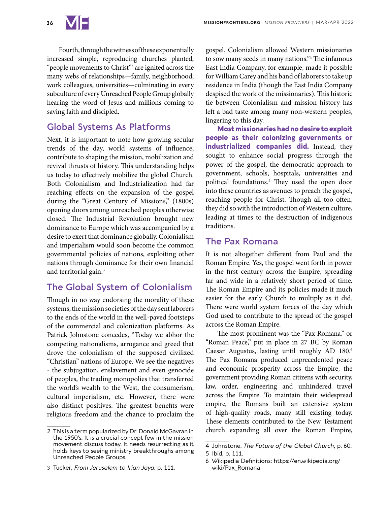

Fourth, through the witness of these exponentially increased simple, reproducing churches planted, "people movements to Christ"<sup>2</sup> are ignited across the many webs of relationships—family, neighborhood, work colleagues, universities—culminating in every subculture of every Unreached People Group globally hearing the word of Jesus and millions coming to saving faith and discipled.

#### **Global Systems As Platforms**

Next, it is important to note how growing secular trends of the day, world systems of influence, contribute to shaping the mission, mobilization and revival thrusts of history. This understanding helps us today to effectively mobilize the global Church. Both Colonialism and Industrialization had far reaching effects on the expansion of the gospel during the "Great Century of Missions," (1800s) opening doors among unreached peoples otherwise closed. The Industrial Revolution brought new dominance to Europe which was accompanied by a desire to exert that dominance globally. Colonialism and imperialism would soon become the common governmental policies of nations, exploiting other nations through dominance for their own financial and territorial gain.<sup>3</sup>

## **The Global System of Colonialism**

Though in no way endorsing the morality of these systems, the mission societies of the day sent laborers to the ends of the world in the well-paved footsteps of the commercial and colonization platforms. As Patrick Johnstone concedes, "Today we abhor the competing nationalisms, arrogance and greed that drove the colonialism of the supposed civilized "Christian" nations of Europe. We see the negatives - the subjugation, enslavement and even genocide of peoples, the trading monopolies that transferred the world's wealth to the West, the consumerism, cultural imperialism, etc. However, there were also distinct positives. The greatest benefits were religious freedom and the chance to proclaim the

gospel. Colonialism allowed Western missionaries to sow many seeds in many nations."4 The infamous East India Company, for example, made it possible for William Carey and his band of laborers to take up residence in India (though the East India Company despised the work of the missionaries). This historic tie between Colonialism and mission history has left a bad taste among many non-western peoples, lingering to this day.

**Most missionaries had no desire to exploit people as their colonizing governments or industrialized companies did.** Instead, they sought to enhance social progress through the power of the gospel, the democratic approach to government, schools, hospitals, universities and political foundations.5 They used the open door into these countries as avenues to preach the gospel, reaching people for Christ. Though all too often, they did so with the introduction of Western culture, leading at times to the destruction of indigenous traditions.

#### **The Pax Romana**

It is not altogether different from Paul and the Roman Empire. Yes, the gospel went forth in power in the first century across the Empire, spreading far and wide in a relatively short period of time. The Roman Empire and its policies made it much easier for the early Church to multiply as it did. There were world system forces of the day which God used to contribute to the spread of the gospel across the Roman Empire.

The most prominent was the "Pax Romana," or "Roman Peace," put in place in 27 BC by Roman Caesar Augustus, lasting until roughly AD 180.6 The Pax Romana produced unprecedented peace and economic prosperity across the Empire, the government providing Roman citizens with security, law, order, engineering and unhindered travel across the Empire. To maintain their widespread empire, the Romans built an extensive system of high-quality roads, many still existing today. These elements contributed to the New Testament church expanding all over the Roman Empire,

<sup>2</sup> This is a term popularized by Dr. Donald McGavran in the 1950's. It is a crucial concept few in the mission movement discuss today. It needs resurrecting as it holds keys to seeing ministry breakthroughs among Unreached People Groups.

<sup>3</sup> Tucker, *From Jerusalem to Irian Jaya*, p. 111.

<sup>4</sup> Johnstone, *The Future of the Global Church*, p. 60.

<sup>5</sup> Ibid, p. 111.

<sup>6</sup> Wikipedia Definitions: https://en.wikipedia.org/ wiki/Pax\_Romana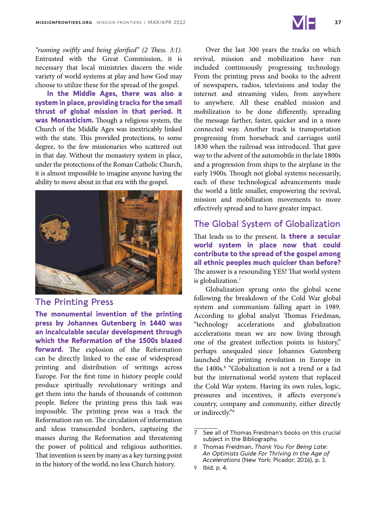

*"running swiftly and being glorified" (2 Thess. 3:1).* Entrusted with the Great Commission, it is necessary that local ministries discern the wide variety of world systems at play and how God may choose to utilize these for the spread of the gospel.

**In the Middle Ages, there was also a system in place, providing tracks for the small thrust of global mission in that period. It was Monasticism.** Though a religious system, the Church of the Middle Ages was inextricably linked with the state. This provided protections, to some degree, to the few missionaries who scattered out in that day. Without the monastery system in place, under the protections of the Roman Catholic Church, it is almost impossible to imagine anyone having the ability to move about in that era with the gospel.



### **The Printing Press**

**The monumental invention of the printing press by Johannes Gutenberg in 1440 was an incalculable secular development through which the Reformation of the 1500s blazed forward.** The explosion of the Reformation can be directly linked to the ease of widespread printing and distribution of writings across Europe. For the first time in history people could produce spiritually revolutionary writings and get them into the hands of thousands of common people. Before the printing press this task was impossible. The printing press was a track the Reformation ran on. The circulation of information and ideas transcended borders, capturing the masses during the Reformation and threatening the power of political and religious authorities. That invention is seen by many as a key turning point in the history of the world, no less Church history.

Over the last 300 years the tracks on which revival, mission and mobilization have run included continuously progressing technology. From the printing press and books to the advent of newspapers, radios, televisions and today the internet and streaming video, from anywhere to anywhere. All these enabled mission and mobilization to be done differently, spreading the message farther, faster, quicker and in a more connected way. Another track is transportation progressing from horseback and carriages until 1830 when the railroad was introduced. That gave way to the advent of the automobile in the late 1800s and a progression from ships to the airplane in the early 1900s. Though not global systems necessarily, each of these technological advancements made the world a little smaller, empowering the revival, mission and mobilization movements to more effectively spread and to have greater impact.

#### **The Global System of Globalization**

That leads us to the present. **Is there a secular world system in place now that could contribute to the spread of the gospel among all ethnic peoples much quicker than before?** The answer is a resounding YES! That world system is globalization.<sup>7</sup>

Globalization sprung onto the global scene following the breakdown of the Cold War global system and communism falling apart in 1989. According to global analyst Thomas Friedman, "technology accelerations and globalization accelerations mean we are now living through one of the greatest inflection points in history," perhaps unequaled since Johannes Gutenberg launched the printing revolution in Europe in the 1400s.<sup>8</sup> "Globalization is not a trend or a fad but the international world system that replaced the Cold War system. Having its own rules, logic, pressures and incentives, it affects everyone's country, company and community, either directly or indirectly."9

<sup>7</sup> See all of Thomas Freidman's books on this crucial subject in the Bibliography.

<sup>8</sup> Thomas Freidman, *Thank You For Being Late: An Optimists Guide For Thriving In the Age of Accelerations* (New York: Picador, 2016), p. 3.

<sup>9</sup> Ibid, p. 4.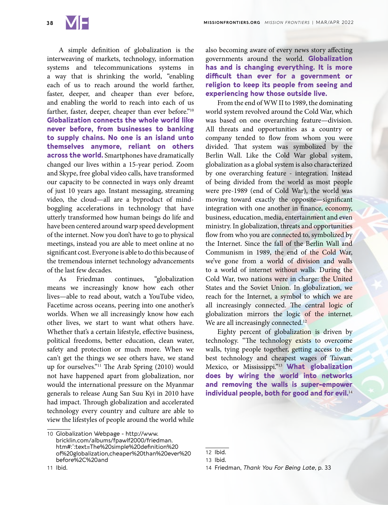A simple definition of globalization is the interweaving of markets, technology, information systems and telecommunications systems in a way that is shrinking the world, "enabling each of us to reach around the world farther, faster, deeper, and cheaper than ever before, and enabling the world to reach into each of us farther, faster, deeper, cheaper than ever before."10 **Globalization connects the whole world like never before, from businesses to banking to supply chains. No one is an island unto themselves anymore, reliant on others across the world.** Smartphones have dramatically changed our lives within a 15-year period. Zoom and Skype, free global video calls, have transformed our capacity to be connected in ways only dreamt of just 10 years ago. Instant messaging, streaming video, the cloud—all are a byproduct of mindboggling accelerations in technology that have utterly transformed how human beings do life and have been centered around warp speed development of the internet. Now you don't have to go to physical meetings, instead you are able to meet online at no significant cost. Everyone is able to do this because of the tremendous internet technology advancements of the last few decades.

As Friedman continues, "globalization means we increasingly know how each other lives—able to read about, watch a YouTube video, Facetime across oceans, peering into one another's worlds. When we all increasingly know how each other lives, we start to want what others have. Whether that's a certain lifestyle, effective business, political freedoms, better education, clean water, safety and protection or much more. When we can't get the things we see others have, we stand up for ourselves."11 The Arab Spring (2010) would not have happened apart from globalization, nor would the international pressure on the Myanmar generals to release Aung San Suu Kyi in 2010 have had impact. Through globalization and accelerated technology every country and culture are able to view the lifestyles of people around the world while

also becoming aware of every news story affecting governments around the world. **Globalization has and is changing everything. It is more difficult than ever for a government or religion to keep its people from seeing and experiencing how those outside live.**

From the end of WW II to 1989, the dominating world system revolved around the Cold War, which was based on one overarching feature—division. All threats and opportunities as a country or company tended to flow from whom you were divided. That system was symbolized by the Berlin Wall. Like the Cold War global system, globalization as a global system is also characterized by one overarching feature - integration. Instead of being divided from the world as most people were pre-1989 (end of Cold War), the world was moving toward exactly the opposite—significant integration with one another in finance, economy, business, education, media, entertainment and even ministry. In globalization, threats and opportunities flow from who you are connected to, symbolized by the Internet. Since the fall of the Berlin Wall and Communism in 1989, the end of the Cold War, we've gone from a world of division and walls to a world of internet without walls. During the Cold War, two nations were in charge: the United States and the Soviet Union. In globalization, we reach for the Internet, a symbol to which we are all increasingly connected. The central logic of globalization mirrors the logic of the internet. We are all increasingly connected.<sup>12</sup>

Eighty percent of globalization is driven by technology. "The technology exists to overcome walls, tying people together, getting access to the best technology and cheapest wages of Taiwan, Mexico, or Mississippi."13 **What globalization does by wiring the world into networks and removing the walls is super-empower individual people, both for good and for evil.**<sup>14</sup>

<sup>10</sup> Globalization Webpage - http://www. bricklin.com/albums/fpawlf2000/friedman. htm#:~:text=The%20simple%20definition%20 of%20globalization,cheaper%20than%20ever%20 before%2C%20and

<sup>12</sup> Ibid.

<sup>13</sup> Ibid.

<sup>14</sup> Friedman, *Thank You For Being Late*, p. 33